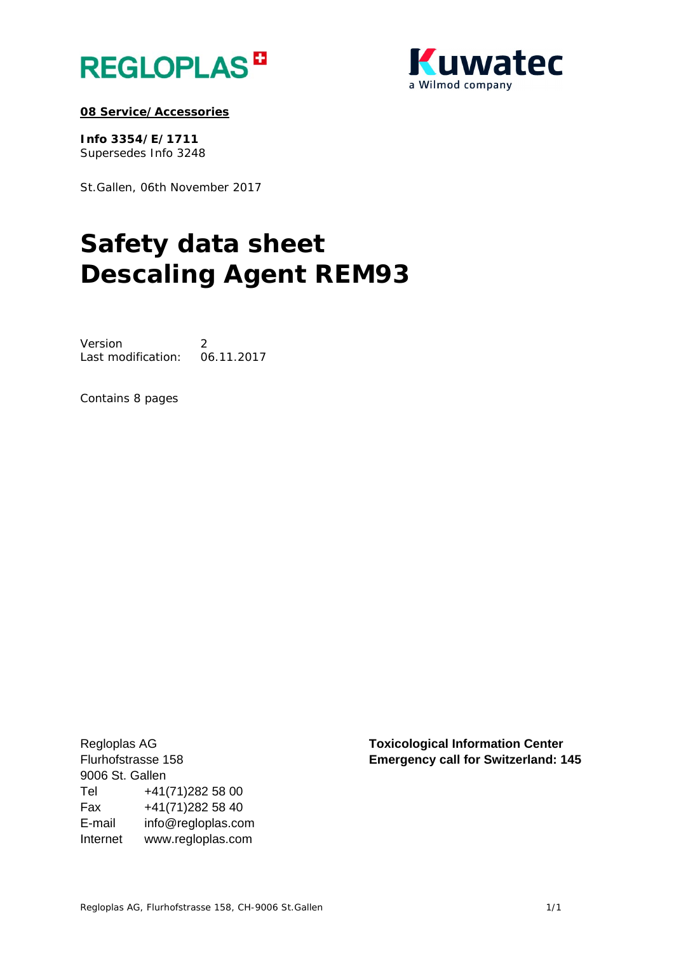



## **08 Service/Accessories**

**Info 3354/E/1711**  Supersedes Info 3248

St.Gallen, 06th November 2017

# **Safety data sheet Descaling Agent REM93**

Version 2 Last modification: 06.11.2017

Contains 8 pages

9006 St. Gallen Tel +41(71)282 58 00 Fax +41(71)282 58 40 E-mail info@regloplas.com Internet www.regloplas.com

Regloplas AG **Toxicological Information Center**  Flurhofstrasse 158 **Emergency call for Switzerland: 145**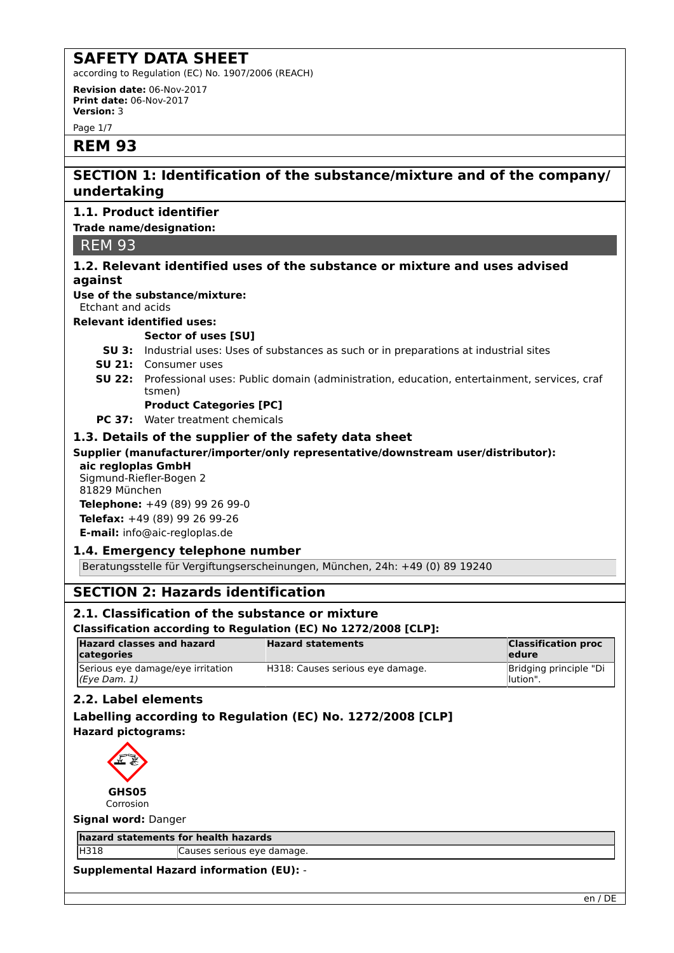according to Regulation (EC) No. 1907/2006 (REACH)

**Revision date:** 06-Nov-2017 **Print date:** 06-Nov-2017 **Version:** 3

Page 1/7

## **REM 93**

## **SECTION 1: Identification of the substance/mixture and of the company/ undertaking**

## **1.1. Product identifier**

## **Trade name/designation:**

REM 93

## **1.2. Relevant identified uses of the substance or mixture and uses advised against**

## **Use of the substance/mixture:**

Etchant and acids

#### **Relevant identified uses:**

## **Sector of uses [SU]**

- **SU 3:** Industrial uses: Uses of substances as such or in preparations at industrial sites
- **SU 21:** Consumer uses
- **SU 22:** Professional uses: Public domain (administration, education, entertainment, services, craf tsmen)

## **Product Categories [PC]**

**PC 37:** Water treatment chemicals

## **1.3. Details of the supplier of the safety data sheet**

#### **Supplier (manufacturer/importer/only representative/downstream user/distributor): aic regloplas GmbH**

Sigmund-Riefler-Bogen 2 81829 München

**Telephone:** +49 (89) 99 26 99-0 **Telefax:** +49 (89) 99 26 99-26 **E-mail:** info@aic-regloplas.de

## **1.4. Emergency telephone number**

Beratungsstelle für Vergiftungserscheinungen, München, 24h: +49 (0) 89 19240

## **SECTION 2: Hazards identification**

## **2.1. Classification of the substance or mixture**

## **Classification according to Regulation (EC) No 1272/2008 [CLP]:**

| <b>Hazard classes and hazard</b><br>categories    | <b>Hazard statements</b>         | <b>Classification proc</b><br>ledure |
|---------------------------------------------------|----------------------------------|--------------------------------------|
| Serious eye damage/eye irritation<br>(Eye Dam. 1) | H318: Causes serious eye damage. | Bridging principle "Di<br>llution".  |

## **2.2. Label elements**

## **Labelling according to Regulation (EC) No. 1272/2008 [CLP] Hazard pictograms:**



**Signal word:** Danger

**hazard statements for health hazards**

H318 Causes serious eye damage.

**Supplemental Hazard information (EU):** -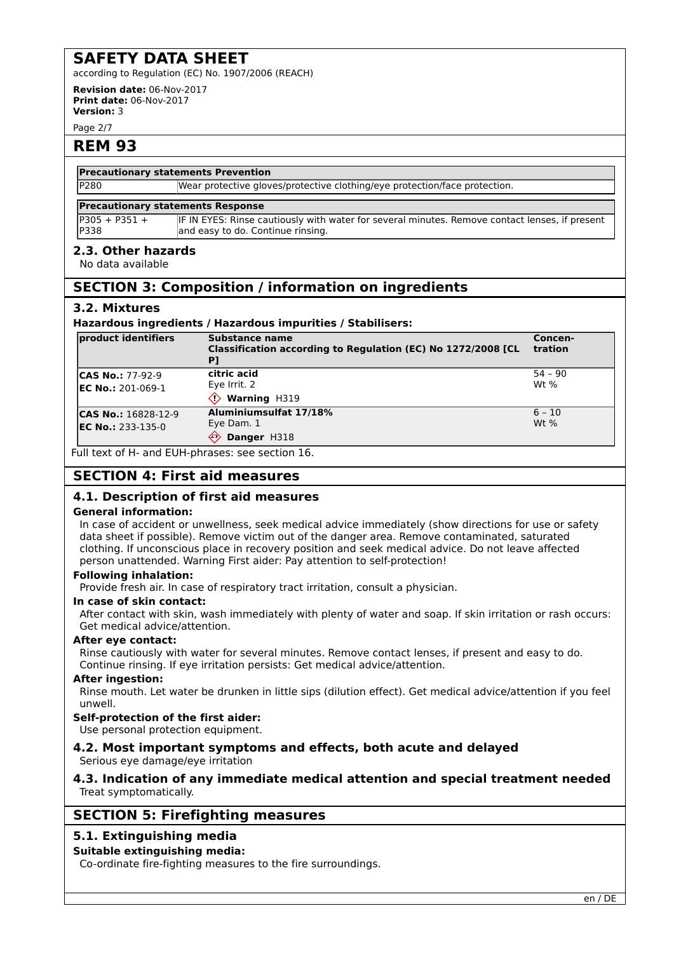according to Regulation (EC) No. 1907/2006 (REACH)

**Revision date:** 06-Nov-2017 **Print date:** 06-Nov-2017 **Version:** 3

Page 2/7

## **REM 93**

## **Precautionary statements Prevention**

P280 Wear protective gloves/protective clothing/eye protection/face protection.

#### **Precautionary statements Response**

 $P305 + P351 +$ P338 IF IN EYES: Rinse cautiously with water for several minutes. Remove contact lenses, if present and easy to do. Continue rinsing.

## **2.3. Other hazards**

No data available

## **SECTION 3: Composition / information on ingredients**

## **3.2. Mixtures**

#### **Hazardous ingredients / Hazardous impurities / Stabilisers:**

| product identifiers                               | Substance name<br>Classification according to Regulation (EC) No 1272/2008 [CL | Concen-<br>tration   |
|---------------------------------------------------|--------------------------------------------------------------------------------|----------------------|
| <b>CAS No.: 77-92-9</b>                           | citric acid<br>Eye Irrit. 2                                                    | $54 - 90$<br>$Wt$ %  |
| <b>EC No.: 201-069-1</b>                          | Warning H319                                                                   |                      |
| <b>CAS No.: 16828-12-9</b><br>$EC No.: 233-135-0$ | Aluminiumsulfat 17/18%<br>Eye Dam. 1<br>Danger H318<br>⇐                       | $ 6 - 10 $<br>$Wt$ % |

Full text of H- and EUH-phrases: see section 16.

## **SECTION 4: First aid measures**

## **4.1. Description of first aid measures**

#### **General information:**

In case of accident or unwellness, seek medical advice immediately (show directions for use or safety data sheet if possible). Remove victim out of the danger area. Remove contaminated, saturated clothing. If unconscious place in recovery position and seek medical advice. Do not leave affected person unattended. Warning First aider: Pay attention to self-protection!

#### **Following inhalation:**

Provide fresh air. In case of respiratory tract irritation, consult a physician.

#### **In case of skin contact:**

After contact with skin, wash immediately with plenty of water and soap. If skin irritation or rash occurs: Get medical advice/attention.

#### **After eye contact:**

Rinse cautiously with water for several minutes. Remove contact lenses, if present and easy to do. Continue rinsing. If eye irritation persists: Get medical advice/attention.

#### **After ingestion:**

Rinse mouth. Let water be drunken in little sips (dilution effect). Get medical advice/attention if you feel unwell.

## **Self-protection of the first aider:**

Use personal protection equipment.

## **4.2. Most important symptoms and effects, both acute and delayed**

Serious eye damage/eye irritation

## **4.3. Indication of any immediate medical attention and special treatment needed** Treat symptomatically.

## **SECTION 5: Firefighting measures**

## **5.1. Extinguishing media**

## **Suitable extinguishing media:**

Co-ordinate fire-fighting measures to the fire surroundings.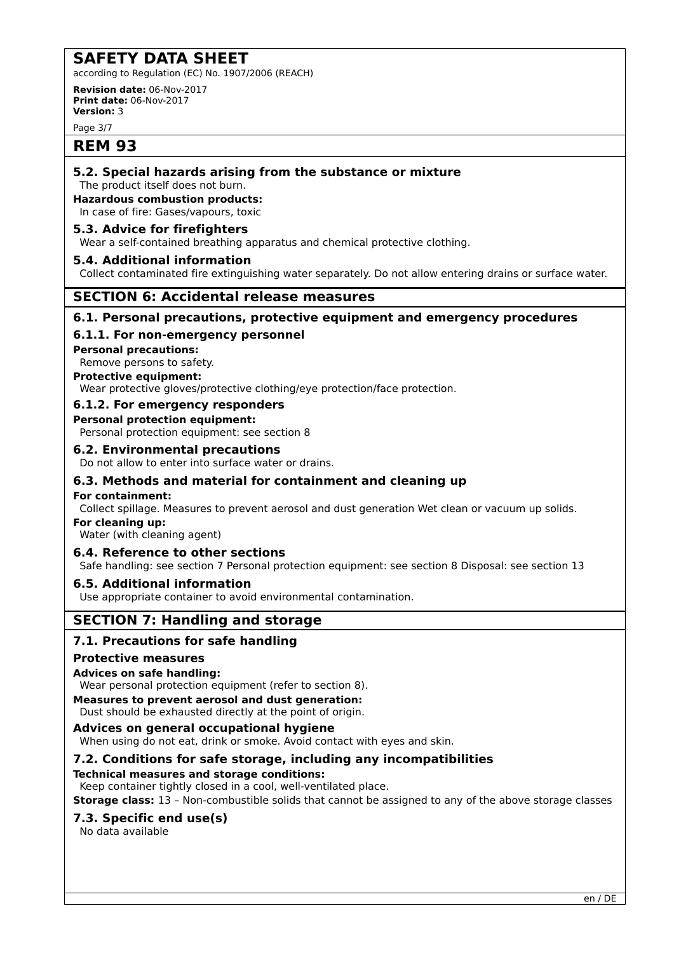according to Regulation (EC) No. 1907/2006 (REACH)

**Revision date:** 06-Nov-2017 **Print date:** 06-Nov-2017 **Version:** 3

Page 3/7

## **REM 93**

## **5.2. Special hazards arising from the substance or mixture**

The product itself does not burn.

## **Hazardous combustion products:**

In case of fire: Gases/vapours, toxic

## **5.3. Advice for firefighters**

Wear a self-contained breathing apparatus and chemical protective clothing.

## **5.4. Additional information**

Collect contaminated fire extinguishing water separately. Do not allow entering drains or surface water.

## **SECTION 6: Accidental release measures**

## **6.1. Personal precautions, protective equipment and emergency procedures**

## **6.1.1. For non-emergency personnel**

**Personal precautions:**

Remove persons to safety.

## **Protective equipment:**

Wear protective gloves/protective clothing/eye protection/face protection.

## **6.1.2. For emergency responders**

#### **Personal protection equipment:**

Personal protection equipment: see section 8

## **6.2. Environmental precautions**

Do not allow to enter into surface water or drains.

## **6.3. Methods and material for containment and cleaning up**

#### **For containment:**

Collect spillage. Measures to prevent aerosol and dust generation Wet clean or vacuum up solids.

## **For cleaning up:**

Water (with cleaning agent)

## **6.4. Reference to other sections**

Safe handling: see section 7 Personal protection equipment: see section 8 Disposal: see section 13

## **6.5. Additional information**

Use appropriate container to avoid environmental contamination.

## **SECTION 7: Handling and storage**

## **7.1. Precautions for safe handling**

## **Protective measures**

## **Advices on safe handling:**

Wear personal protection equipment (refer to section 8).

#### **Measures to prevent aerosol and dust generation:**

Dust should be exhausted directly at the point of origin.

## **Advices on general occupational hygiene**

When using do not eat, drink or smoke. Avoid contact with eyes and skin.

## **7.2. Conditions for safe storage, including any incompatibilities**

## **Technical measures and storage conditions:**

Keep container tightly closed in a cool, well-ventilated place.

**Storage class:** 13 – Non-combustible solids that cannot be assigned to any of the above storage classes

## **7.3. Specific end use(s)**

No data available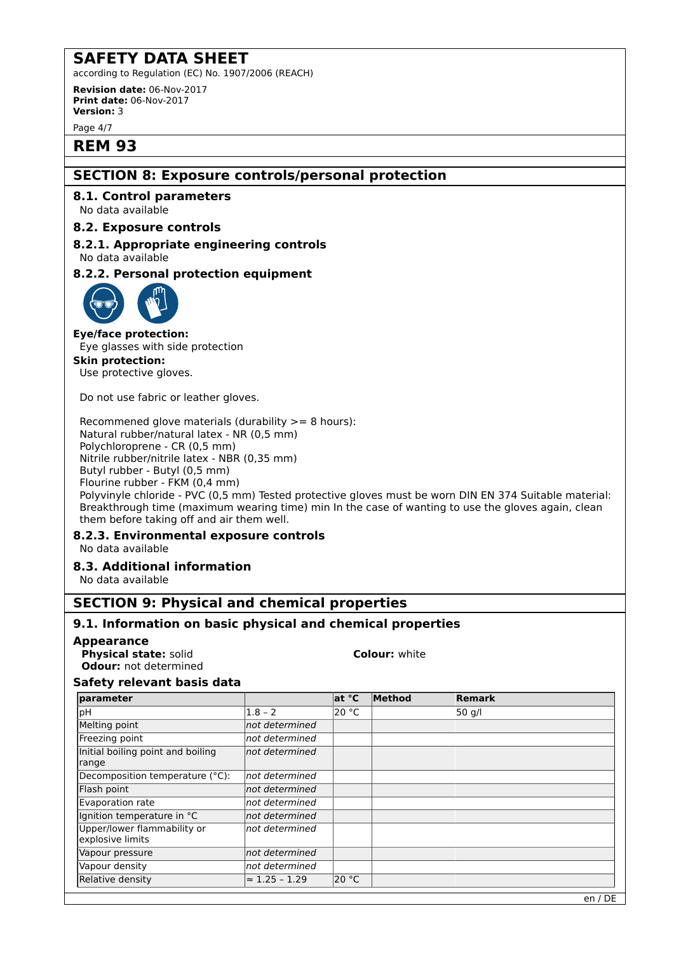according to Regulation (EC) No. 1907/2006 (REACH)

**Revision date:** 06-Nov-2017 **Print date:** 06-Nov-2017 **Version:** 3

Page 4/7

## **REM 93**

## **SECTION 8: Exposure controls/personal protection**

## **8.1. Control parameters**

No data available

## **8.2. Exposure controls**

**8.2.1. Appropriate engineering controls** No data available

## **8.2.2. Personal protection equipment**



## **Eye/face protection:**

Eye glasses with side protection

#### **Skin protection:**

Use protective gloves.

Do not use fabric or leather gloves.

Recommened glove materials (durability >= 8 hours): Natural rubber/natural latex - NR (0,5 mm) Polychloroprene - CR (0,5 mm) Nitrile rubber/nitrile latex - NBR (0,35 mm) Butyl rubber - Butyl (0,5 mm) Flourine rubber - FKM (0,4 mm)

Polyvinyle chloride - PVC (0,5 mm) Tested protective gloves must be worn DIN EN 374 Suitable material: Breakthrough time (maximum wearing time) min In the case of wanting to use the gloves again, clean them before taking off and air them well.

## **8.2.3. Environmental exposure controls**

No data available

## **8.3. Additional information**

No data available

## **SECTION 9: Physical and chemical properties**

## **9.1. Information on basic physical and chemical properties**

## **Appearance**

**Physical state:** solid **Colour:** white **Odour:** not determined

## **Safety relevant basis data**

| parameter                                       |                       | at °C           | Method | Remark |
|-------------------------------------------------|-----------------------|-----------------|--------|--------|
| pH                                              | $1.8 - 2$             | 20 $^{\circ}$ C |        | 50 g/l |
| Melting point                                   | not determined        |                 |        |        |
| Freezing point                                  | not determined        |                 |        |        |
| Initial boiling point and boiling<br>range      | not determined        |                 |        |        |
| Decomposition temperature (°C):                 | Inot determined       |                 |        |        |
| Flash point                                     | not determined        |                 |        |        |
| Evaporation rate                                | not determined        |                 |        |        |
| Ignition temperature in °C                      | not determined        |                 |        |        |
| Upper/lower flammability or<br>explosive limits | not determined        |                 |        |        |
| Vapour pressure                                 | not determined        |                 |        |        |
| Vapour density                                  | not determined        |                 |        |        |
| Relative density                                | $\approx$ 1.25 - 1.29 | 20 °C           |        |        |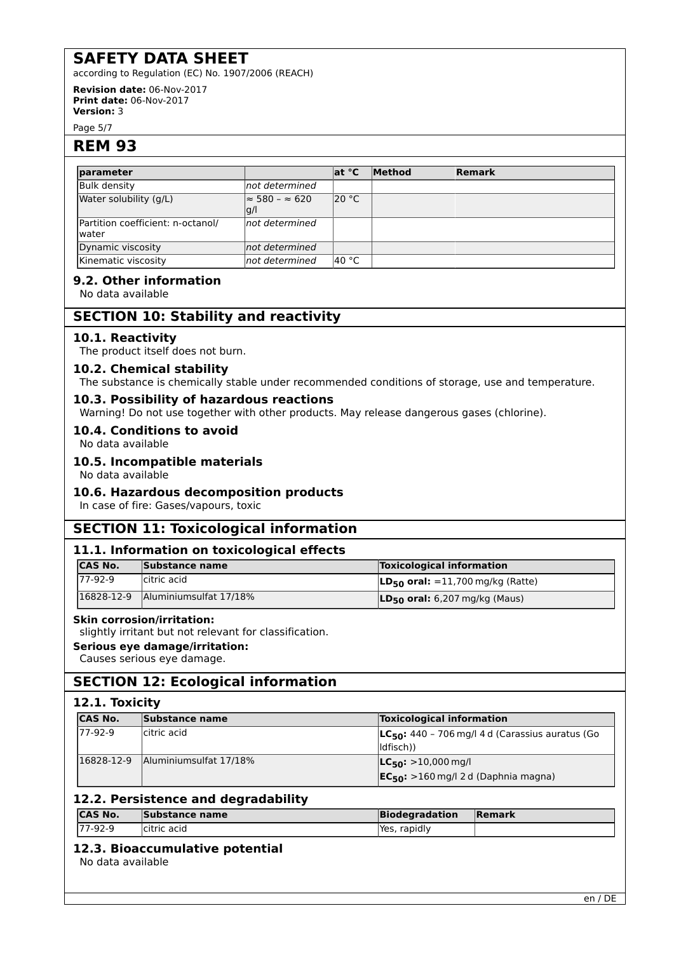according to Regulation (EC) No. 1907/2006 (REACH)

**Revision date:** 06-Nov-2017 **Print date:** 06-Nov-2017 **Version:** 3

Page 5/7

## **REM 93**

| <b>Iparameter</b>                           |                                      | $ $ at $^{\circ}$ C | Method | Remark |  |
|---------------------------------------------|--------------------------------------|---------------------|--------|--------|--|
| <b>Bulk density</b>                         | not determined                       |                     |        |        |  |
| Water solubility (g/L)                      | $\approx$ 580 – $\approx$ 620<br> g/ | 20 °C               |        |        |  |
| Partition coefficient: n-octanol/<br>lwater | Inot determined                      |                     |        |        |  |
| Dynamic viscosity                           | Inot determined                      |                     |        |        |  |
| Kinematic viscosity                         | not determined                       | ∣40 °C              |        |        |  |

## **9.2. Other information**

No data available

## **SECTION 10: Stability and reactivity**

#### **10.1. Reactivity**

The product itself does not burn.

#### **10.2. Chemical stability**

The substance is chemically stable under recommended conditions of storage, use and temperature.

#### **10.3. Possibility of hazardous reactions**

Warning! Do not use together with other products. May release dangerous gases (chlorine).

#### **10.4. Conditions to avoid**

No data available

#### **10.5. Incompatible materials**

No data available

#### **10.6. Hazardous decomposition products**

In case of fire: Gases/vapours, toxic

## **SECTION 11: Toxicological information**

## **11.1. Information on toxicological effects**

| ICAS No.   | Substance name                      | <b>Toxicological information</b>                   |
|------------|-------------------------------------|----------------------------------------------------|
| $177-92-9$ | citric acid                         | <b>LD<sub>50</sub> oral:</b> =11,700 mg/kg (Ratte) |
|            | l16828-12-9 Alluminiumsulfat 17/18% | $LD_{50}$ oral: 6,207 mg/kg (Maus)                 |

#### **Skin corrosion/irritation:**

slightly irritant but not relevant for classification.

#### **Serious eye damage/irritation:**

Causes serious eye damage.

## **SECTION 12: Ecological information**

#### **12.1. Toxicity**

| <b>CAS No.</b> | Substance name         | <b>Toxicological information</b>                                         |
|----------------|------------------------|--------------------------------------------------------------------------|
| 77-92-9        | citric acid            | $LC_{50}$ : 440 - 706 mg/l 4 d (Carassius auratus (Go<br>$ $ ldfisch $)$ |
| 16828-12-9     | Aluminiumsulfat 17/18% | $ LC_{50}:$ >10,000 mg/l<br>$EC_{50}$ : >160 mg/l 2 d (Daphnia magna)    |

## **12.2. Persistence and degradability**

| <b>ICAS No.</b> | Substance name | Biodegradation | <b>Remark</b> |
|-----------------|----------------|----------------|---------------|
| 177-92-9        | citric acid    | Yes, rapidly   |               |

## **12.3. Bioaccumulative potential**

No data available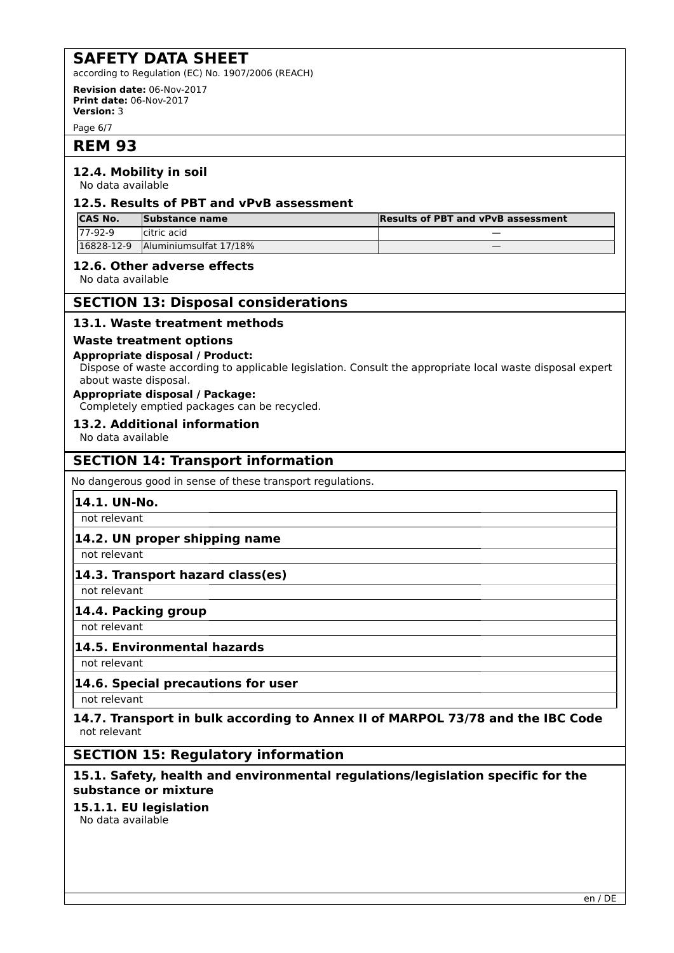according to Regulation (EC) No. 1907/2006 (REACH)

**Revision date:** 06-Nov-2017 **Print date:** 06-Nov-2017 **Version:** 3

Page 6/7

## **REM 93**

## **12.4. Mobility in soil**

No data available

## **12.5. Results of PBT and vPvB assessment**

| <b>CAS No.</b> | Substance name         | <b>Results of PBT and vPvB assessment</b> |
|----------------|------------------------|-------------------------------------------|
| $177-92-9$     | citric acid            | $\overline{\phantom{a}}$                  |
| 16828-12-9     | Aluminiumsulfat 17/18% | _                                         |

## **12.6. Other adverse effects**

No data available

## **SECTION 13: Disposal considerations**

## **13.1. Waste treatment methods**

## **Waste treatment options**

#### **Appropriate disposal / Product:**

Dispose of waste according to applicable legislation. Consult the appropriate local waste disposal expert about waste disposal.

## **Appropriate disposal / Package:**

Completely emptied packages can be recycled.

## **13.2. Additional information**

No data available

## **SECTION 14: Transport information**

No dangerous good in sense of these transport regulations.

## **14.1. UN-No.**

not relevant

## **14.2. UN proper shipping name**

not relevant

## **14.3. Transport hazard class(es)**

not relevant

## **14.4. Packing group**

not relevant

## **14.5. Environmental hazards**

not relevant

## **14.6. Special precautions for user**

not relevant

## **14.7. Transport in bulk according to Annex II of MARPOL 73/78 and the IBC Code** not relevant

## **SECTION 15: Regulatory information**

## **15.1. Safety, health and environmental regulations/legislation specific for the substance or mixture**

## **15.1.1. EU legislation**

No data available